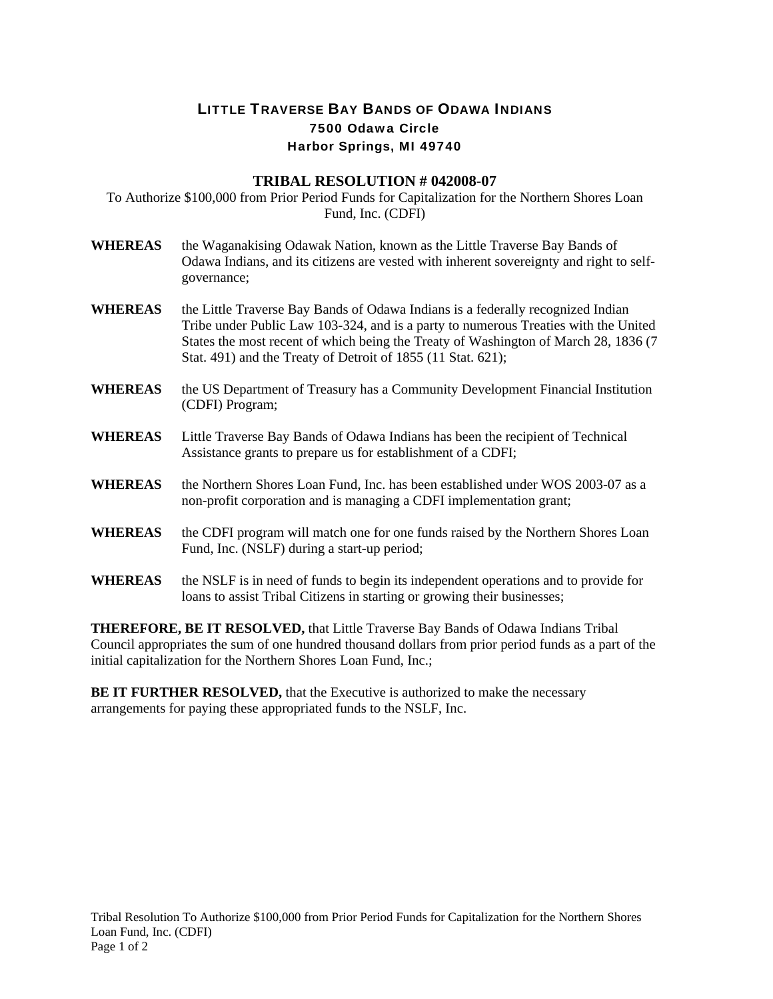## LITTLE TRAVERSE BAY BANDS OF ODAWA INDIANS 7500 Odawa Circle Harbor Springs, MI 49740

## **TRIBAL RESOLUTION # 042008-07**

To Authorize \$100,000 from Prior Period Funds for Capitalization for the Northern Shores Loan Fund, Inc. (CDFI)

- **WHEREAS** the Waganakising Odawak Nation, known as the Little Traverse Bay Bands of Odawa Indians, and its citizens are vested with inherent sovereignty and right to selfgovernance;
- **WHEREAS** the Little Traverse Bay Bands of Odawa Indians is a federally recognized Indian Tribe under Public Law 103-324, and is a party to numerous Treaties with the United States the most recent of which being the Treaty of Washington of March 28, 1836 (7 Stat. 491) and the Treaty of Detroit of 1855 (11 Stat. 621);
- **WHEREAS** the US Department of Treasury has a Community Development Financial Institution (CDFI) Program;
- **WHEREAS** Little Traverse Bay Bands of Odawa Indians has been the recipient of Technical Assistance grants to prepare us for establishment of a CDFI;
- **WHEREAS** the Northern Shores Loan Fund, Inc. has been established under WOS 2003-07 as a non-profit corporation and is managing a CDFI implementation grant;
- **WHEREAS** the CDFI program will match one for one funds raised by the Northern Shores Loan Fund, Inc. (NSLF) during a start-up period;
- **WHEREAS** the NSLF is in need of funds to begin its independent operations and to provide for loans to assist Tribal Citizens in starting or growing their businesses;

**THEREFORE, BE IT RESOLVED,** that Little Traverse Bay Bands of Odawa Indians Tribal Council appropriates the sum of one hundred thousand dollars from prior period funds as a part of the initial capitalization for the Northern Shores Loan Fund, Inc.;

**BE IT FURTHER RESOLVED,** that the Executive is authorized to make the necessary arrangements for paying these appropriated funds to the NSLF, Inc.